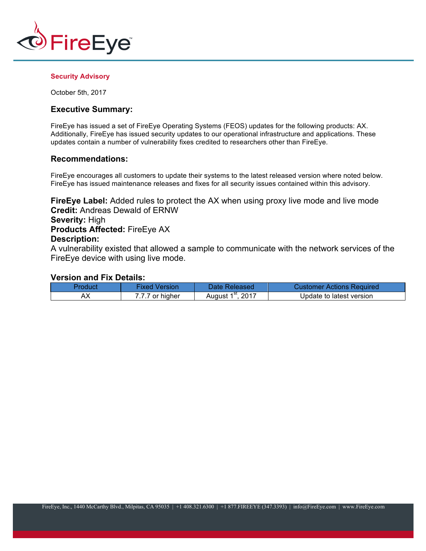

#### **Security Advisory**

October 5th, 2017

# **Executive Summary:**

FireEye has issued a set of FireEye Operating Systems (FEOS) updates for the following products: AX. Additionally, FireEye has issued security updates to our operational infrastructure and applications. These updates contain a number of vulnerability fixes credited to researchers other than FireEye.

# **Recommendations:**

FireEye encourages all customers to update their systems to the latest released version where noted below. FireEye has issued maintenance releases and fixes for all security issues contained within this advisory.

**FireEye Label:** Added rules to protect the AX when using proxy live mode and live mode **Credit:** Andreas Dewald of ERNW **Severity:** High **Products Affected:** FireEye AX

# **Description:**

A vulnerability existed that allowed a sample to communicate with the network services of the FireEye device with using live mode.

#### **Version and Fix Details:**

| Product | Fixed Version | Date Released/     | Customer Actions Required |
|---------|---------------|--------------------|---------------------------|
|         | 7 or higher   | $.201^-$<br>August | Update to latest version_ |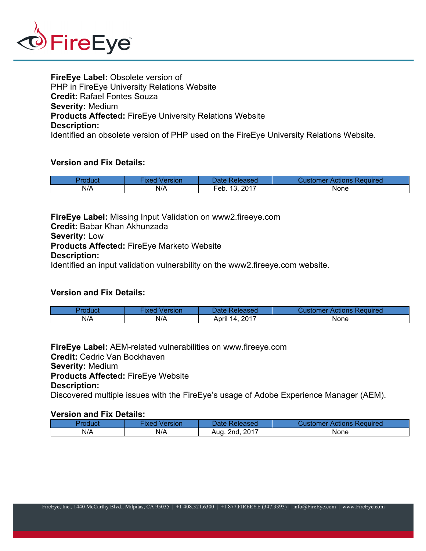

**FireEye Label:** Obsolete version of PHP in FireEye University Relations Website **Credit:** Rafael Fontes Souza **Severity:** Medium **Products Affected:** FireEye University Relations Website **Description:** Identified an obsolete version of PHP used on the FireEye University Relations Website.

# **Version and Fix Details:**

|     | Version<br>іхес | Date:<br>Released                | Reauired<br>Actions<br>Dustomer |
|-----|-----------------|----------------------------------|---------------------------------|
| N/A | N/A             | , 2017<br>10<br>_<br>⊢eb.<br>IJ. | None                            |

**FireEye Label:** Missing Input Validation on www2.fireeye.com **Credit:** Babar Khan Akhunzada **Severity:** Low **Products Affected:** FireEye Marketo Website **Description:**

Identified an input validation vulnerability on the www2.fireeye.com website.

# **Version and Fix Details:**

| Product | Version<br><b>IXed</b> | Date Released         | Customer Actions Required |
|---------|------------------------|-----------------------|---------------------------|
| N/A     | N/A                    | .2017<br>-14<br>April | None                      |

**FireEye Label:** AEM-related vulnerabilities on www.fireeye.com **Credit:** Cedric Van Bockhaven **Severity:** Medium **Products Affected:** FireEye Website **Description:** Discovered multiple issues with the FireEye's usage of Adobe Experience Manager (AEM).

## **Version and Fix Details:**

| Product | Fixed<br>Version | Date Released       | Customer Actions Required |
|---------|------------------|---------------------|---------------------------|
| N/A     | N/A              | . 2nd. 2017<br>Aug. | None                      |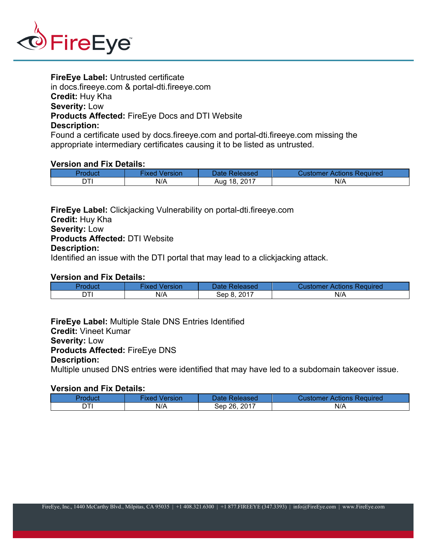

**FireEye Label:** Untrusted certificate in docs.fireeye.com & portal-dti.fireeye.com **Credit:** Huy Kha **Severity:** Low **Products Affected:** FireEye Docs and DTI Website **Description:**

Found a certificate used by docs.fireeye.com and portal-dti.fireeye.com missing the appropriate intermediary certificates causing it to be listed as untrusted.

## **Version and Fix Details:**

| Product | Version<br>∙ixed | Date Released     | Customer Actions Required |
|---------|------------------|-------------------|---------------------------|
|         | N/A              | , 2017<br>Aug 18, | N/A                       |

**FireEye Label:** Clickjacking Vulnerability on portal-dti.fireeye.com **Credit:** Huy Kha **Severity:** Low **Products Affected:** DTI Website **Description:** Identified an issue with the DTI portal that may lead to a clickjacking attack.

## **Version and Fix Details:**

| Product | Version<br>·ixed | Date Released   | Customer Actions Required |
|---------|------------------|-----------------|---------------------------|
|         | N/A              | .2017<br>Sep 8. | N/A                       |

**FireEye Label:** Multiple Stale DNS Entries Identified **Credit:** Vineet Kumar **Severity:** Low **Products Affected:** FireEye DNS **Description:**

Multiple unused DNS entries were identified that may have led to a subdomain takeover issue.

# **Version and Fix Details:**

| Product | Version<br>ixed | Date Released | <b>Customer Actions Required</b> |
|---------|-----------------|---------------|----------------------------------|
| ודה     | N/A             | Sep 26, 2017  | N/A                              |